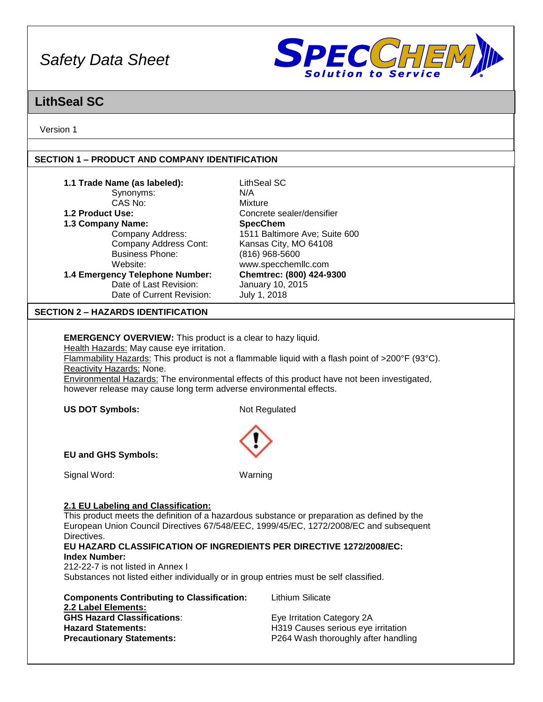

## **LithSeal SC**

Version 1

## **SECTION 1 – PRODUCT AND COMPANY IDENTIFICATION**

| 1.1 Trade Name (as labeled):<br>Synonyms:<br>CAS No:<br>1.2 Product Use:<br>1.3 Company Name:<br>Company Address:<br><b>Company Address Cont:</b><br><b>Business Phone:</b><br>Website:<br>1.4 Emergency Telephone Number:<br>Date of Last Revision:<br>Date of Current Revision:                                                                                                                                                                                                                                                                                                                                                                                                                                                                                                                 | <b>LithSeal SC</b><br>N/A<br><b>Mixture</b><br>Concrete sealer/densifier<br><b>SpecChem</b><br>1511 Baltimore Ave; Suite 600<br>Kansas City, MO 64108<br>(816) 968-5600<br>www.specchemllc.com<br>Chemtrec: (800) 424-9300<br>January 10, 2015<br>July 1, 2018 |  |  |
|---------------------------------------------------------------------------------------------------------------------------------------------------------------------------------------------------------------------------------------------------------------------------------------------------------------------------------------------------------------------------------------------------------------------------------------------------------------------------------------------------------------------------------------------------------------------------------------------------------------------------------------------------------------------------------------------------------------------------------------------------------------------------------------------------|----------------------------------------------------------------------------------------------------------------------------------------------------------------------------------------------------------------------------------------------------------------|--|--|
| <b>SECTION 2 - HAZARDS IDENTIFICATION</b>                                                                                                                                                                                                                                                                                                                                                                                                                                                                                                                                                                                                                                                                                                                                                         |                                                                                                                                                                                                                                                                |  |  |
|                                                                                                                                                                                                                                                                                                                                                                                                                                                                                                                                                                                                                                                                                                                                                                                                   |                                                                                                                                                                                                                                                                |  |  |
| <b>EMERGENCY OVERVIEW:</b> This product is a clear to hazy liquid.<br>Health Hazards: May cause eye irritation.<br>Flammability Hazards: This product is not a flammable liquid with a flash point of >200°F (93°C).<br>Reactivity Hazards: None.<br>Environmental Hazards: The environmental effects of this product have not been investigated,<br>however release may cause long term adverse environmental effects.                                                                                                                                                                                                                                                                                                                                                                           |                                                                                                                                                                                                                                                                |  |  |
| <b>US DOT Symbols:</b>                                                                                                                                                                                                                                                                                                                                                                                                                                                                                                                                                                                                                                                                                                                                                                            | Not Regulated                                                                                                                                                                                                                                                  |  |  |
| <b>EU and GHS Symbols:</b>                                                                                                                                                                                                                                                                                                                                                                                                                                                                                                                                                                                                                                                                                                                                                                        |                                                                                                                                                                                                                                                                |  |  |
| Signal Word:                                                                                                                                                                                                                                                                                                                                                                                                                                                                                                                                                                                                                                                                                                                                                                                      | Warning                                                                                                                                                                                                                                                        |  |  |
| 2.1 EU Labeling and Classification:<br>This product meets the definition of a hazardous substance or preparation as defined by the<br>European Union Council Directives 67/548/EEC, 1999/45/EC, 1272/2008/EC and subsequent<br>Directives.<br>EU HAZARD CLASSIFICATION OF INGREDIENTS PER DIRECTIVE 1272/2008/EC:<br><b>Index Number:</b><br>212-22-7 is not listed in Annex I<br>Substances not listed either individually or in group entries must be self classified.<br><b>Lithium Silicate</b><br><b>Components Contributing to Classification:</b><br>2.2 Label Elements:<br><b>GHS Hazard Classifications:</b><br>Eye Irritation Category 2A<br><b>Hazard Statements:</b><br>H319 Causes serious eye irritation<br>P264 Wash thoroughly after handling<br><b>Precautionary Statements:</b> |                                                                                                                                                                                                                                                                |  |  |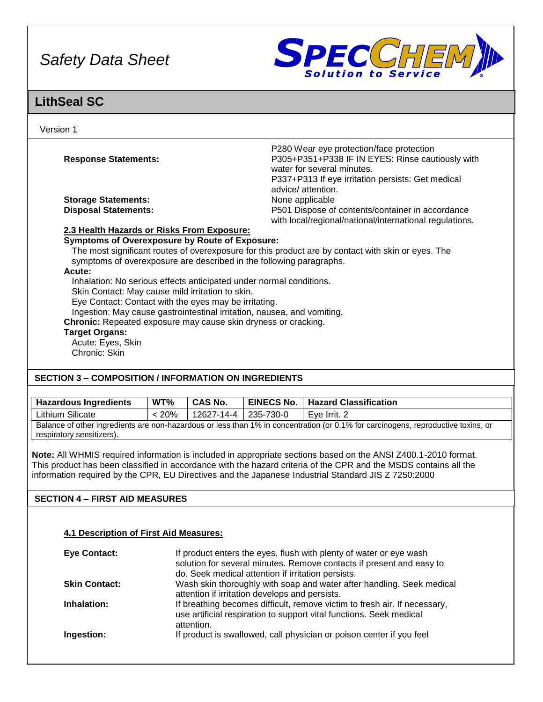

## **LithSeal SC**

| Version 1                                                           |                                                                                                             |
|---------------------------------------------------------------------|-------------------------------------------------------------------------------------------------------------|
|                                                                     | P280 Wear eye protection/face protection                                                                    |
| <b>Response Statements:</b>                                         | P305+P351+P338 IF IN EYES: Rinse cautiously with<br>water for several minutes.                              |
|                                                                     | P337+P313 If eye irritation persists: Get medical<br>advice/attention.                                      |
| <b>Storage Statements:</b>                                          | None applicable                                                                                             |
| <b>Disposal Statements:</b>                                         | P501 Dispose of contents/container in accordance<br>with local/regional/national/international regulations. |
| 2.3 Health Hazards or Risks From Exposure:                          |                                                                                                             |
| <b>Symptoms of Overexposure by Route of Exposure:</b>               |                                                                                                             |
| symptoms of overexposure are described in the following paragraphs. | The most significant routes of overexposure for this product are by contact with skin or eyes. The          |
|                                                                     |                                                                                                             |

#### **Acute:**

Inhalation: No serious effects anticipated under normal conditions.

Skin Contact: May cause mild irritation to skin.

Eye Contact: Contact with the eyes may be irritating.

Ingestion: May cause gastrointestinal irritation, nausea, and vomiting.

**Chronic:** Repeated exposure may cause skin dryness or cracking.

## **Target Organs:**

Acute: Eyes, Skin Chronic: Skin

## **SECTION 3 – COMPOSITION / INFORMATION ON INGREDIENTS**

| <b>Hazardous Ingredients</b>                                                                                                      | WT%      | <b>CAS No.</b>       |  | EINECS No.   Hazard Classification |
|-----------------------------------------------------------------------------------------------------------------------------------|----------|----------------------|--|------------------------------------|
| Lithium Silicate                                                                                                                  | $< 20\%$ | 12627-14-4 235-730-0 |  | Eve Irrit, 2                       |
| Balance of other ingredients are non-hazardous or less than 1% in concentration (or 0.1% for carcinogens, reproductive toxins, or |          |                      |  |                                    |
| respiratory sensitizers).                                                                                                         |          |                      |  |                                    |

**Note:** All WHMIS required information is included in appropriate sections based on the ANSI Z400.1-2010 format. This product has been classified in accordance with the hazard criteria of the CPR and the MSDS contains all the information required by the CPR, EU Directives and the Japanese Industrial Standard JIS Z 7250:2000

## **SECTION 4 – FIRST AID MEASURES**

## **4.1 Description of First Aid Measures:**

| <b>Eye Contact:</b>  | If product enters the eyes, flush with plenty of water or eye wash<br>solution for several minutes. Remove contacts if present and easy to<br>do. Seek medical attention if irritation persists. |
|----------------------|--------------------------------------------------------------------------------------------------------------------------------------------------------------------------------------------------|
| <b>Skin Contact:</b> | Wash skin thoroughly with soap and water after handling. Seek medical<br>attention if irritation develops and persists.                                                                          |
| Inhalation:          | If breathing becomes difficult, remove victim to fresh air. If necessary,<br>use artificial respiration to support vital functions. Seek medical<br>attention.                                   |
| Ingestion:           | If product is swallowed, call physician or poison center if you feel                                                                                                                             |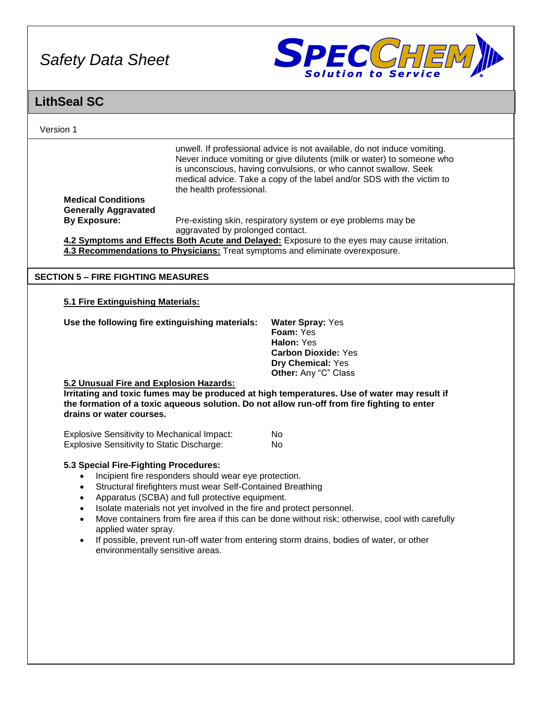

| <b>LithSeal SC</b>                                                                                                     |                                                                                                                                                                                                                                                 |                                                                                                                                                                                                                                                                                                                             |
|------------------------------------------------------------------------------------------------------------------------|-------------------------------------------------------------------------------------------------------------------------------------------------------------------------------------------------------------------------------------------------|-----------------------------------------------------------------------------------------------------------------------------------------------------------------------------------------------------------------------------------------------------------------------------------------------------------------------------|
| Version 1                                                                                                              |                                                                                                                                                                                                                                                 |                                                                                                                                                                                                                                                                                                                             |
| <b>Medical Conditions</b>                                                                                              | the health professional.                                                                                                                                                                                                                        | unwell. If professional advice is not available, do not induce vomiting.<br>Never induce vomiting or give dilutents (milk or water) to someone who<br>is unconscious, having convulsions, or who cannot swallow. Seek<br>medical advice. Take a copy of the label and/or SDS with the victim to                             |
| <b>Generally Aggravated</b><br><b>By Exposure:</b>                                                                     | aggravated by prolonged contact.                                                                                                                                                                                                                | Pre-existing skin, respiratory system or eye problems may be                                                                                                                                                                                                                                                                |
|                                                                                                                        |                                                                                                                                                                                                                                                 | 4.2 Symptoms and Effects Both Acute and Delayed: Exposure to the eyes may cause irritation.<br>4.3 Recommendations to Physicians: Treat symptoms and eliminate overexposure.                                                                                                                                                |
| <b>SECTION 5 - FIRE FIGHTING MEASURES</b>                                                                              |                                                                                                                                                                                                                                                 |                                                                                                                                                                                                                                                                                                                             |
| 5.1 Fire Extinguishing Materials:                                                                                      |                                                                                                                                                                                                                                                 |                                                                                                                                                                                                                                                                                                                             |
| Use the following fire extinguishing materials:<br>5.2 Unusual Fire and Explosion Hazards:<br>drains or water courses. |                                                                                                                                                                                                                                                 | <b>Water Spray: Yes</b><br>Foam: Yes<br>Halon: Yes<br><b>Carbon Dioxide: Yes</b><br>Dry Chemical: Yes<br>Other: Any "C" Class<br>Irritating and toxic fumes may be produced at high temperatures. Use of water may result if<br>the formation of a toxic aqueous solution. Do not allow run-off from fire fighting to enter |
| <b>Explosive Sensitivity to Mechanical Impact:</b><br><b>Explosive Sensitivity to Static Discharge:</b>                |                                                                                                                                                                                                                                                 | <b>No</b><br><b>No</b>                                                                                                                                                                                                                                                                                                      |
| 5.3 Special Fire-Fighting Procedures:<br>applied water spray.<br>$\bullet$<br>environmentally sensitive areas.         | Incipient fire responders should wear eye protection.<br>Structural firefighters must wear Self-Contained Breathing<br>Apparatus (SCBA) and full protective equipment.<br>Isolate materials not yet involved in the fire and protect personnel. | Move containers from fire area if this can be done without risk; otherwise, cool with carefully<br>If possible, prevent run-off water from entering storm drains, bodies of water, or other                                                                                                                                 |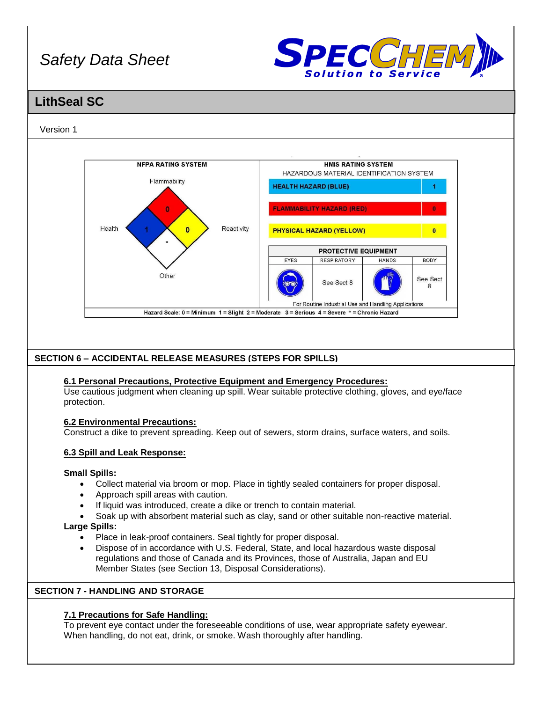

## **LithSeal SC**

## Version 1



## **SECTION 6 – ACCIDENTAL RELEASE MEASURES (STEPS FOR SPILLS)**

## **6.1 Personal Precautions, Protective Equipment and Emergency Procedures:**

Use cautious judgment when cleaning up spill. Wear suitable protective clothing, gloves, and eye/face protection.

## **6.2 Environmental Precautions:**

Construct a dike to prevent spreading. Keep out of sewers, storm drains, surface waters, and soils.

## **6.3 Spill and Leak Response:**

## **Small Spills:**

- Collect material via broom or mop. Place in tightly sealed containers for proper disposal.
- Approach spill areas with caution.
- If liquid was introduced, create a dike or trench to contain material.
- Soak up with absorbent material such as clay, sand or other suitable non-reactive material.

## **Large Spills:**

- Place in leak-proof containers. Seal tightly for proper disposal.
- Dispose of in accordance with U.S. Federal, State, and local hazardous waste disposal regulations and those of Canada and its Provinces, those of Australia, Japan and EU Member States (see Section 13, Disposal Considerations).

## **SECTION 7 - HANDLING AND STORAGE**

## **7.1 Precautions for Safe Handling:**

To prevent eye contact under the foreseeable conditions of use, wear appropriate safety eyewear. When handling, do not eat, drink, or smoke. Wash thoroughly after handling.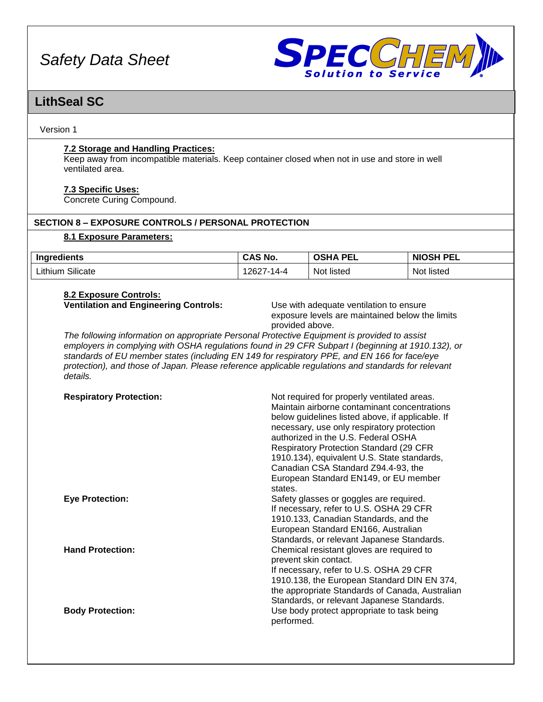

## **LithSeal SC**

Version 1

## **7.2 Storage and Handling Practices:**

Keep away from incompatible materials. Keep container closed when not in use and store in well ventilated area.

## **7.3 Specific Uses:**

Concrete Curing Compound.

## **SECTION 8 – EXPOSURE CONTROLS / PERSONAL PROTECTION**

## **8.1 Exposure Parameters:**

| <br>Ingredients  | <b>CAS No.</b> | <b>DEI</b><br>neur.<br>1Д.<br>כי<br>--- | <b>NIOSH PEL</b>  |
|------------------|----------------|-----------------------------------------|-------------------|
| Lithium Silicate | 262<br>4-14 /  | Not listed                              | . .<br>Not listed |

#### **8.2 Exposure Controls: Ventilation and Engineering Controls:** Use with adequate ventilation to ensure

exposure levels are maintained below the limits provided above.

*The following information on appropriate Personal Protective Equipment is provided to assist employers in complying with OSHA regulations found in 29 CFR Subpart I (beginning at 1910.132), or standards of EU member states (including EN 149 for respiratory PPE, and EN 166 for face/eye protection), and those of Japan. Please reference applicable regulations and standards for relevant details.*

| <b>Respiratory Protection:</b> | Not required for properly ventilated areas.<br>Maintain airborne contaminant concentrations<br>below guidelines listed above, if applicable. If<br>necessary, use only respiratory protection<br>authorized in the U.S. Federal OSHA<br><b>Respiratory Protection Standard (29 CFR)</b><br>1910.134), equivalent U.S. State standards,<br>Canadian CSA Standard Z94.4-93, the<br>European Standard EN149, or EU member<br>states. |
|--------------------------------|-----------------------------------------------------------------------------------------------------------------------------------------------------------------------------------------------------------------------------------------------------------------------------------------------------------------------------------------------------------------------------------------------------------------------------------|
| <b>Eye Protection:</b>         | Safety glasses or goggles are required.<br>If necessary, refer to U.S. OSHA 29 CFR<br>1910.133, Canadian Standards, and the<br>European Standard EN166, Australian<br>Standards, or relevant Japanese Standards.                                                                                                                                                                                                                  |
| <b>Hand Protection:</b>        | Chemical resistant gloves are required to<br>prevent skin contact.<br>If necessary, refer to U.S. OSHA 29 CFR<br>1910.138, the European Standard DIN EN 374,<br>the appropriate Standards of Canada, Australian<br>Standards, or relevant Japanese Standards.                                                                                                                                                                     |
| <b>Body Protection:</b>        | Use body protect appropriate to task being<br>performed.                                                                                                                                                                                                                                                                                                                                                                          |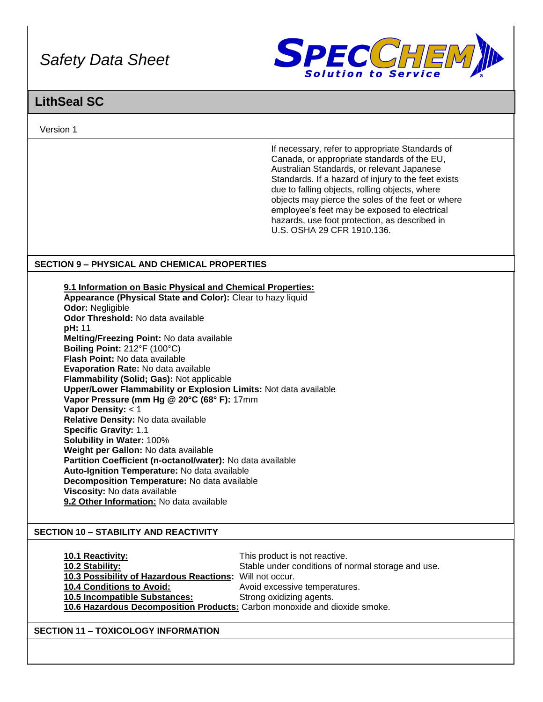

## **LithSeal SC**

Version 1

If necessary, refer to appropriate Standards of Canada, or appropriate standards of the EU, Australian Standards, or relevant Japanese Standards. If a hazard of injury to the feet exists due to falling objects, rolling objects, where objects may pierce the soles of the feet or where employee's feet may be exposed to electrical hazards, use foot protection, as described in U.S. OSHA 29 CFR 1910.136.

## **SECTION 9 – PHYSICAL AND CHEMICAL PROPERTIES**

**9.1 Information on Basic Physical and Chemical Properties: Appearance (Physical State and Color):** Clear to hazy liquid **Odor:** Negligible **Odor Threshold:** No data available **pH:** 11 **Melting/Freezing Point:** No data available **Boiling Point:** 212°F (100°C) **Flash Point:** No data available **Evaporation Rate:** No data available **Flammability (Solid; Gas):** Not applicable **Upper/Lower Flammability or Explosion Limits:** Not data available **Vapor Pressure (mm Hg @ 20°C (68° F):** 17mm **Vapor Density:** < 1 **Relative Density:** No data available **Specific Gravity:** 1.1 **Solubility in Water:** 100% **Weight per Gallon:** No data available **Partition Coefficient (n-octanol/water):** No data available **Auto-Ignition Temperature:** No data available **Decomposition Temperature:** No data available **Viscosity:** No data available **9.2 Other Information:** No data available

## **SECTION 10 – STABILITY AND REACTIVITY**

| <b>10.1 Reactivity:</b>                                                   | This product is not reactive.                      |  |
|---------------------------------------------------------------------------|----------------------------------------------------|--|
| 10.2 Stability:                                                           | Stable under conditions of normal storage and use. |  |
| 10.3 Possibility of Hazardous Reactions: Will not occur.                  |                                                    |  |
| <b>10.4 Conditions to Avoid:</b>                                          | Avoid excessive temperatures.                      |  |
| 10.5 Incompatible Substances:                                             | Strong oxidizing agents.                           |  |
| 10.6 Hazardous Decomposition Products: Carbon monoxide and dioxide smoke. |                                                    |  |

## **SECTION 11 – TOXICOLOGY INFORMATION**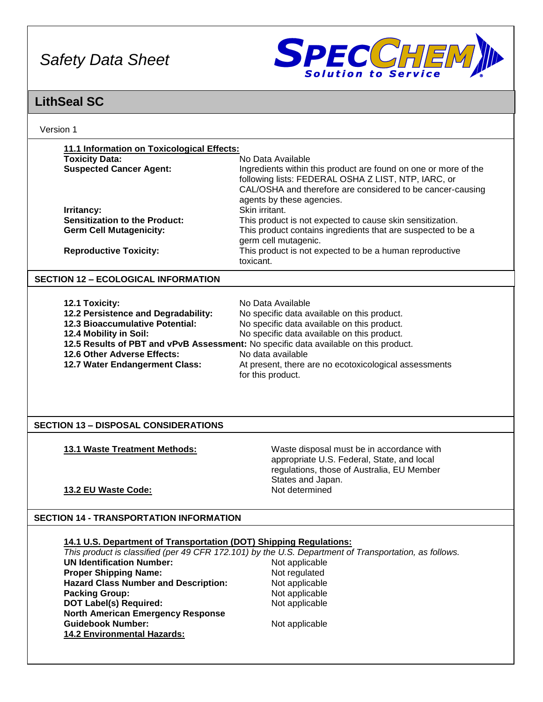

## **LithSeal SC**

| Version 1                                                          |                                                                                                                                                                                                                   |
|--------------------------------------------------------------------|-------------------------------------------------------------------------------------------------------------------------------------------------------------------------------------------------------------------|
| 11.1 Information on Toxicological Effects:                         |                                                                                                                                                                                                                   |
| <b>Toxicity Data:</b>                                              | No Data Available                                                                                                                                                                                                 |
| <b>Suspected Cancer Agent:</b>                                     | Ingredients within this product are found on one or more of the<br>following lists: FEDERAL OSHA Z LIST, NTP, IARC, or<br>CAL/OSHA and therefore are considered to be cancer-causing<br>agents by these agencies. |
| Irritancy:                                                         | Skin irritant.                                                                                                                                                                                                    |
| <b>Sensitization to the Product:</b>                               | This product is not expected to cause skin sensitization.                                                                                                                                                         |
| <b>Germ Cell Mutagenicity:</b>                                     | This product contains ingredients that are suspected to be a                                                                                                                                                      |
|                                                                    | germ cell mutagenic.                                                                                                                                                                                              |
| <b>Reproductive Toxicity:</b>                                      | This product is not expected to be a human reproductive                                                                                                                                                           |
|                                                                    | toxicant.                                                                                                                                                                                                         |
| <b>SECTION 12 - ECOLOGICAL INFORMATION</b>                         |                                                                                                                                                                                                                   |
|                                                                    |                                                                                                                                                                                                                   |
| 12.1 Toxicity:                                                     | No Data Available                                                                                                                                                                                                 |
| 12.2 Persistence and Degradability:                                | No specific data available on this product.                                                                                                                                                                       |
| 12.3 Bioaccumulative Potential:                                    | No specific data available on this product.                                                                                                                                                                       |
| 12.4 Mobility in Soil:                                             | No specific data available on this product.                                                                                                                                                                       |
|                                                                    | 12.5 Results of PBT and vPvB Assessment: No specific data available on this product.                                                                                                                              |
| 12.6 Other Adverse Effects:                                        | No data available                                                                                                                                                                                                 |
| 12.7 Water Endangerment Class:                                     | At present, there are no ecotoxicological assessments<br>for this product.                                                                                                                                        |
|                                                                    |                                                                                                                                                                                                                   |
| <b>SECTION 13 - DISPOSAL CONSIDERATIONS</b>                        |                                                                                                                                                                                                                   |
| 13.1 Waste Treatment Methods:                                      | Waste disposal must be in accordance with<br>appropriate U.S. Federal, State, and local<br>regulations, those of Australia, EU Member<br>States and Japan.                                                        |
| 13.2 EU Waste Code:                                                | Not determined                                                                                                                                                                                                    |
|                                                                    |                                                                                                                                                                                                                   |
| <b>SECTION 14 - TRANSPORTATION INFORMATION</b>                     |                                                                                                                                                                                                                   |
|                                                                    |                                                                                                                                                                                                                   |
| 14.1 U.S. Department of Transportation (DOT) Shipping Regulations: |                                                                                                                                                                                                                   |
|                                                                    | This product is classified (per 49 CFR 172.101) by the U.S. Department of Transportation, as follows.                                                                                                             |
| <b>UN Identification Number:</b>                                   | Not applicable                                                                                                                                                                                                    |
| <b>Proper Shipping Name:</b>                                       | Not regulated                                                                                                                                                                                                     |
| <b>Hazard Class Number and Description:</b>                        | Not applicable                                                                                                                                                                                                    |
| <b>Packing Group:</b>                                              | Not applicable                                                                                                                                                                                                    |
| <b>DOT Label(s) Required:</b>                                      | Not applicable                                                                                                                                                                                                    |
| <b>North American Emergency Response</b>                           |                                                                                                                                                                                                                   |
| <b>Guidebook Number:</b>                                           | Not applicable                                                                                                                                                                                                    |
| 14.2 Environmental Hazards:                                        |                                                                                                                                                                                                                   |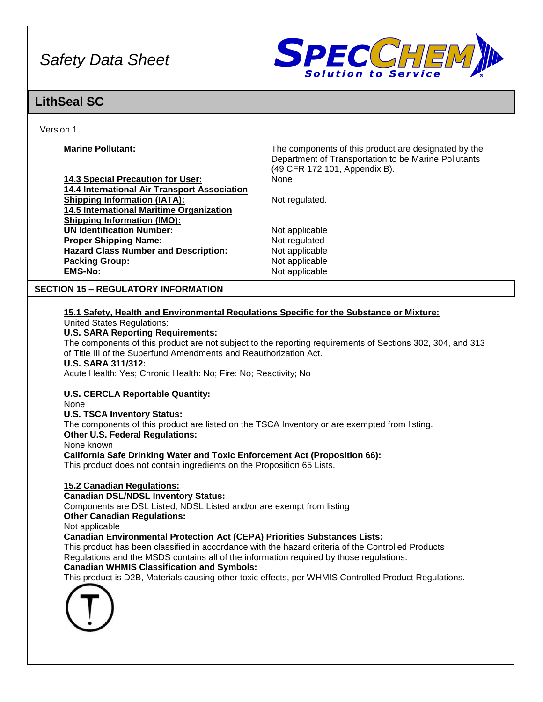

## **LithSeal SC**

## Version 1

| 14.3 Special Precaution for User:            | None   |
|----------------------------------------------|--------|
| 14.4 International Air Transport Association |        |
| <b>Shipping Information (IATA):</b>          | Not re |
| 14.5 International Maritime Organization     |        |
| <b>Shipping Information (IMO):</b>           |        |
| <b>UN Identification Number:</b>             | Not a  |
| <b>Proper Shipping Name:</b>                 | Not re |
| <b>Hazard Class Number and Description:</b>  | Not a  |
| <b>Packing Group:</b>                        | Not a  |
| <b>EMS-No:</b>                               | Not a  |

**Marine Pollutant: The components of this product are designated by the Marine Pollutant:** Department of Transportation to be Marine Pollutants (49 CFR 172.101, Appendix B).

Not regulated.

**Not applicable Not regulated Not applicable Not applicable EMS-No:** Not applicable

## **SECTION 15 – REGULATORY INFORMATION**

## **15.1 Safety, Health and Environmental Regulations Specific for the Substance or Mixture:** United States Regulations:

## **U.S. SARA Reporting Requirements:**

The components of this product are not subject to the reporting requirements of Sections 302, 304, and 313 of Title III of the Superfund Amendments and Reauthorization Act.

**U.S. SARA 311/312:**

Acute Health: Yes; Chronic Health: No; Fire: No; Reactivity; No

**U.S. CERCLA Reportable Quantity:**

None

**U.S. TSCA Inventory Status:**

The components of this product are listed on the TSCA Inventory or are exempted from listing.

**Other U.S. Federal Regulations:**

None known

**California Safe Drinking Water and Toxic Enforcement Act (Proposition 66):**

This product does not contain ingredients on the Proposition 65 Lists.

## **15.2 Canadian Regulations:**

**Canadian DSL/NDSL Inventory Status:**

Components are DSL Listed, NDSL Listed and/or are exempt from listing

## **Other Canadian Regulations:**

Not applicable

**Canadian Environmental Protection Act (CEPA) Priorities Substances Lists:**

This product has been classified in accordance with the hazard criteria of the Controlled Products Regulations and the MSDS contains all of the information required by those regulations.

## **Canadian WHMIS Classification and Symbols:**

This product is D2B, Materials causing other toxic effects, per WHMIS Controlled Product Regulations.